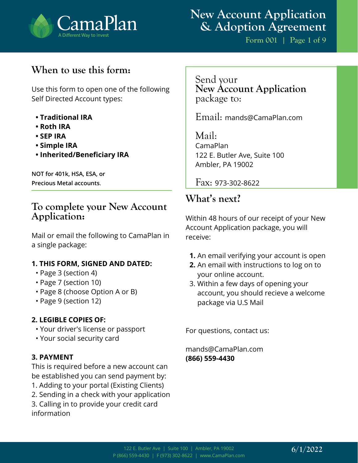

**Form 001 | Page 1 of 9**

## **When to use this form:**

Use this form to open one of the following Self Directed Account types:

- **Traditional IRA**
- **Roth IRA**
- **SEP IRA**
- **Simple IRA**
- **Inherited/Beneficiary IRA**

**NOT for 401k, HSA, ESA, or Precious Metal accounts**.

### **To complete your New Account Application:**

Mail or email the following to CamaPlan in a single package:

#### **1. THIS FORM, SIGNED AND DATED:**

- Page 3 (section 4)
- Page 7 (section 10)
- Page 8 (choose Option A or B)
- Page 9 (section 12)

#### **2. LEGIBLE COPIES OF:**

- Your driver's license or passport
- Your social security card

#### **3. PAYMENT**

This is required before a new account can be established you can send payment by:

- 1. Adding to your portal (Existing Clients)
- 2. Sending in a check with your application

3. Calling in to provide your credit card information

Send your **New Account Application**  package to:

Email: mands@CamaPlan.com

Mail: CamaPlan 122 E. Butler Ave, Suite 100 Ambler, PA 19002

Fax: 973-302-8622

### **What's next?**

Within 48 hours of our receipt of your New Account Application package, you will receive:

- **1.** An email verifying your account is open
- **2.** An email with instructions to log on to your online account.
- 3. Within a few days of opening your account, you should recieve a welcome package via U.S Mail

For questions, contact us:

mands@CamaPlan.com **(866) 559-4430**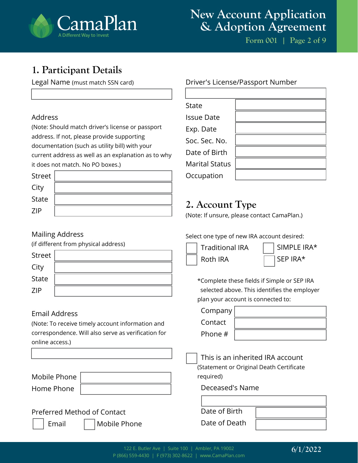

**Form 001 | Page 2 of 9**

## **1. Participant Details**

Legal Name (must match SSN card)

#### Address

(Note: Should match driver's license or passport address. If not, please provide supporting documentation (such as utility bill) with your current address as well as an explanation as to why it does not match. No PO boxes.)

| Street       |  |
|--------------|--|
| City         |  |
| <b>State</b> |  |
| <b>ZIP</b>   |  |

#### Driver's License/Passport Number

| State                 |  |
|-----------------------|--|
| <b>Issue Date</b>     |  |
| Exp. Date             |  |
| Soc. Sec. No.         |  |
| Date of Birth         |  |
| <b>Marital Status</b> |  |
| Occupation            |  |

## **2. Account Type**

(Note: If unsure, please contact CamaPlan.)

#### Mailing Address

(if different from physical address)

| Street       |  |
|--------------|--|
| City         |  |
| <b>State</b> |  |
| <b>ZIP</b>   |  |

#### Email Address

(Note: To receive timely account information and correspondence. Will also serve as verification for online access.)

Mobile Phone Home Phone

### Preferred Method of Contact

Email

| Mobile Phone |  |
|--------------|--|

Select one type of new IRA account desired:



SIMPLE IRA\* SEP IRA\*

\*Complete these fields if Simple or SEP IRA selected above. This identifies the employer plan your account is connected to:

Company

**Contact** 

Phone #

This is an inherited IRA account

(Statement or Original Death Certificate required)

Deceased's Name

| Date of Birth |  |
|---------------|--|
| Date of Death |  |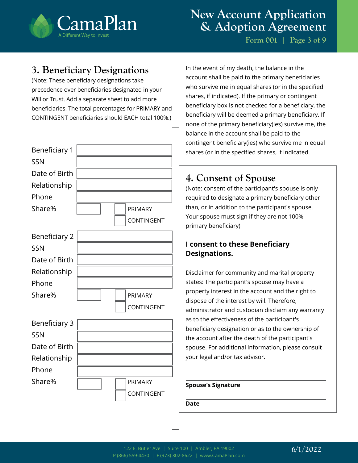

**Form 001 | Page 3 of 9**

## **3. Beneficiary Designations**

(Note: These beneficiary designations take precedence over beneficiaries designated in your Will or Trust. Add a separate sheet to add more beneficiaries. The total percentages for PRIMARY and CONTINGENT beneficiaries should EACH total 100%.)



In the event of my death, the balance in the account shall be paid to the primary beneficiaries who survive me in equal shares (or in the specified shares, if indicated). If the primary or contingent beneficiary box is not checked for a beneficiary, the beneficiary will be deemed a primary beneficiary. If none of the primary beneficiary(ies) survive me, the balance in the account shall be paid to the contingent beneficiary(ies) who survive me in equal shares (or in the specified shares, if indicated.

## **4. Consent of Spouse**

(Note: consent of the participant's spouse is only required to designate a primary beneficiary other than, or in addition to the participant's spouse. Your spouse must sign if they are not 100% primary beneficiary)

### **I consent to these Beneficiary Designations.**

Disclaimer for community and marital property states: The participant's spouse may have a property interest in the account and the right to dispose of the interest by will. Therefore, administrator and custodian disclaim any warranty as to the effectiveness of the participant's beneficiary designation or as to the ownership of the account after the death of the participant's spouse. For additional information, please consult your legal and/or tax advisor.

#### **Spouse's Signature**

**Date**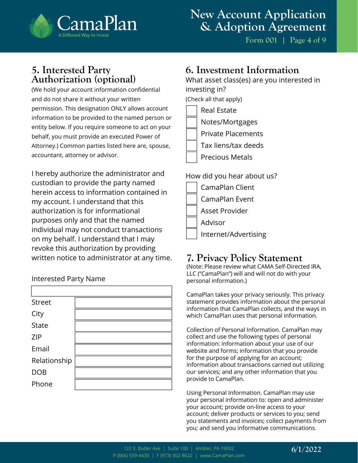

**Form 001 | Page 4 of 9**

### **5. Interested Party Authorization (optional)**

(We hold your account information confidential and do not share it without your written permission. This designation ONLY allows account information to be provided to the named person or entity below. If you require someone to act on your behalf, you must provide an executed Power of Attorney.) Common parties listed here are, spouse, accountant, attorney or advisor.

I hereby authorize the administrator and custodian to provide the party named herein access to information contained in my account. I understand that this authorization is for informational purposes only and that the named individual may not conduct transactions on my behalf. I understand that I may revoke this authorization by providing written notice to administrator at any time.

#### Interested Party Name

| <b>Street</b> |  |
|---------------|--|
| City          |  |
| <b>State</b>  |  |
| <b>ZIP</b>    |  |
| Email         |  |
| Relationship  |  |
| <b>DOB</b>    |  |
| Phone         |  |
|               |  |

### **6. Investment Information**

What asset class(es) are you interested in investing in? (Check all that apply)

Real Estate Notes/Mortgages Private Placements Tax liens/tax deeds

Precious Metals

#### How did you hear about us?

| CamaPlan Client      |
|----------------------|
| CamaPlan Event       |
| Asset Provider       |
| Advisor              |
| Internet/Advertising |
|                      |

## **7. Privacy Policy Statement**

(Note: Please review what CAMA Self-Directed IRA, LLC ("CamaPlan") will and will not do with your personal information.)

CamaPlan takes your privacy seriously. This privacy statement provides information about the personal information that CamaPlan collects, and the ways in which CamaPlan uses that personal information.

Collection of Personal Information. CamaPlan may collect and use the following types of personal information: information about your use of our website and forms; information that you provide for the purpose of applying for an account; information about transactions carried out utilizing our services; and any other information that you provide to CamaPlan.

Using Personal Information. CamaPlan may use your personal information to: open and administer your account; provide on-line access to your account; deliver products or services to you; send you statements and invoices; collect payments from you; and send you informative communications.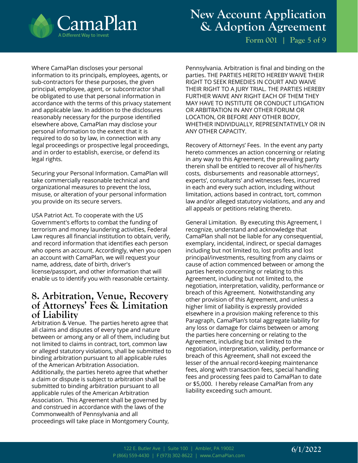

**Form 001 | Page 5 of 9**

Where CamaPlan discloses your personal information to its principals, employees, agents, or sub-contractors for these purposes, the given principal, employee, agent, or subcontractor shall be obligated to use that personal information in accordance with the terms of this privacy statement and applicable law. In addition to the disclosures reasonably necessary for the purpose identified elsewhere above, CamaPlan may disclose your personal information to the extent that it is required to do so by law, in connection with any legal proceedings or prospective legal proceedings, and in order to establish, exercise, or defend its legal rights.

Securing your Personal Information. CamaPlan will take commercially reasonable technical and organizational measures to prevent the loss, misuse, or alteration of your personal information you provide on its secure servers.

USA Patriot Act. To cooperate with the US Government's efforts to combat the funding of terrorism and money laundering activities, Federal Law requres all financial institution to obtain, verify, and record information that identifies each person who opens an account. Accordingly, when you open an account with CamaPlan, we will request your name, address, date of birth, driver's license/passport, and other information that will enable us to identify you with reasonable certainty.

### **8. Arbitration, Venue, Recovery of Attorneys' Fees & Limitation of Liability**

Arbitration & Venue. The parties hereto agree that all claims and disputes of every type and nature between or among any or all of them, including but not limited to claims in contract, tort, common law or alleged statutory violations, shall be submitted to binding arbitration pursuant to all applicable rules of the American Arbitration Association. Additionally, the parties hereto agree that whether a claim or dispute is subject to arbitration shall be submitted to binding arbitration pursuant to all applicable rules of the American Arbitration Association. This Agreement shall be governed by and construed in accordance with the laws of the Commonwealth of Pennsylvania and all proceedings will take place in Montgomery County,

Pennsylvania. Arbitration is final and binding on the parties. THE PARTIES HERETO HEREBY WAIVE THEIR RIGHT TO SEEK REMEDIES IN COURT AND WAIVE THEIR RIGHT TO A JURY TRIAL. THE PARTIES HEREBY FURTHER WAIVE ANY RIGHT EACH OF THEM THEY MAY HAVE TO INSTITUTE OR CONDUCT LITIGATION OR ARBITRATION IN ANY OTHER FORUM OR LOCATION, OR BEFORE ANY OTHER BODY, WHETHER INDIVIDUALLY, REPRESENTATIVELY OR IN ANY OTHER CAPACITY.

Recovery of Attorneys' Fees. In the event any party hereto commences an action concerning or relating in any way to this Agreement, the prevailing party therein shall be entitled to recover all of his/her/its costs, disbursements and reasonable attorneys', experts', consultants' and witnesses fees, incurred in each and every such action, including without limitation, actions based in contract, tort, common law and/or alleged statutory violations, and any and all appeals or petitions relating thereto.

General Limitation. By executing this Agreement, I recognize, understand and acknowledge that CamaPlan shall not be liable for any consequential, exemplary, incidental, indirect, or special damages including but not limited to, lost profits and lost principal/investments, resulting from any claims or cause of action commenced between or among the parties hereto concerning or relating to this Agreement, including but not limited to, the negotiation, interpretation, validity, performance or breach of this Agreement. Notwithstanding any other provision of this Agreement, and unless a higher limit of liability is expressly provided elsewhere in a provision making reference to this Paragraph, CamaPlan's total aggregate liability for any loss or damage for claims between or among the parties here concerning or relating to the Agreement, including but not limited to the negotiation, interpretation, validity, performance or breach of this Agreement, shall not exceed the lesser of the annual record-keeping maintenance fees, along with transaction fees, special handling fees and processing fees paid to CamaPlan to date or \$5,000. I hereby release CamaPlan from any liability exceeding such amount.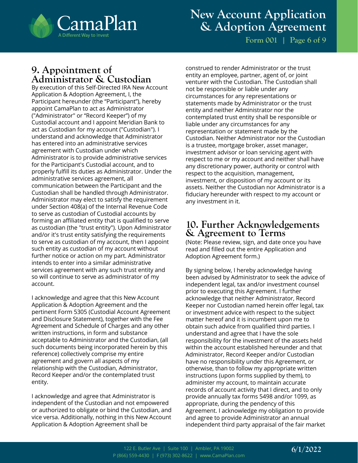

**Form 001 | Page 6 of 9**

### **9. Appointment of Administrator & Custodian**

By execution of this Self-Directed IRA New Account Application & Adoption Agreement, I, the Participant hereunder (the "Participant"), hereby appoint CamaPlan to act as Administrator ("Administrator" or "Record Keeper") of my Custodial account and I appoint Meridian Bank to act as Custodian for my account ("Custodian"). I understand and acknowledge that Administrator has entered into an administrative services agreement with Custodian under which Administrator is to provide administrative services for the Participant's Custodial account, and to properly fulfill its duties as Administrator. Under the administrative services agreement, all communication between the Participant and the Custodian shall be handled through Administrator. Administrator may elect to satisfy the requirement under Section 408(a) of the Internal Revenue Code to serve as custodian of Custodial accounts by forming an affiliated entity that is qualified to serve as custodian (the "trust entity"). Upon Administrator and/or it's trust entity satisfying the requirements to serve as custodian of my account, then I appoint such entity as custodian of my account without further notice or action on my part. Administrator intends to enter into a similar administrative services agreement with any such trust entity and so will continue to serve as administrator of my account.

I acknowledge and agree that this New Account Application & Adoption Agreement and the pertinent Form 5305 (Custodial Account Agreement and Disclosure Statement), together with the Fee Agreement and Schedule of Charges and any other written instructions, in form and substance acceptable to Administrator and the Custodian, (all such documents being incorporated herein by this reference) collectively comprise my entire agreement and govern all aspects of my relationship with the Custodian, Administrator, Record Keeper and/or the contemplated trust entity.

I acknowledge and agree that Administrator is independent of the Custodian and not empowered or authorized to obligate or bind the Custodian, and vice versa. Additionally, nothing in this New Account Application & Adoption Agreement shall be

construed to render Administrator or the trust entity an employee, partner, agent of, or joint venturer with the Custodian. The Custodian shall not be responsible or liable under any circumstances for any representations or statements made by Administrator or the trust entity and neither Administrator nor the contemplated trust entity shall be responsible or liable under any circumstances for any representation or statement made by the Custodian. Neither Administrator nor the Custodian is a trustee, mortgage broker, asset manager, investment advisor or loan servicing agent with respect to me or my account and neither shall have any discretionary power, authority or control with respect to the acquisition, management, investment, or disposition of my account or its assets. Neither the Custodian nor Administrator is a fiduciary hereunder with respect to my account or any investment in it.

### **10. Further Acknowledgements & Agreement to Terms**

(Note: Please review, sign, and date once you have read and filled out the entire Application and Adoption Agreement form.)

By signing below, I hereby acknowledge having been advised by Administrator to seek the advice of independent legal, tax and/or investment counsel prior to executing this Agreement. I further acknowledge that neither Administrator, Record Keeper nor Custodian named herein offer legal, tax or investment advice with respect to the subject matter hereof and it is incumbent upon me to obtain such advice from qualified third parties. I understand and agree that I have the sole responsibility for the investment of the assets held within the account established hereunder and that Administrator, Record Keeper and/or Custodian have no responsibility under this Agreement, or otherwise, than to follow my appropriate written instructions (upon forms supplied by them), to administer my account, to maintain accurate records of account activity that I direct, and to only provide annually tax forms 5498 and/or 1099, as appropriate, during the pendency of this Agreement. I acknowledge my obligation to provide and agree to provide Administrator an annual independent third party appraisal of the fair market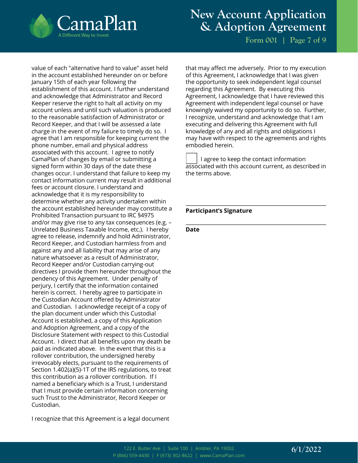

**Form 001 | Page 7 of 9**

value of each "alternative hard to value" asset held in the account established hereunder on or before January 15th of each year following the establishment of this account. I further understand and acknowledge that Administrator and Record Keeper reserve the right to halt all activity on my account unless and until such valuation is produced to the reasonable satisfaction of Administrator or Record Keeper, and that I will be assessed a late charge in the event of my failure to timely do so. I agree that I am responsible for keeping current the phone number, email and physical address associated with this account. I agree to notify CamaPlan of changes by email or submitting a signed form within 30 days of the date these changes occur. I understand that failure to keep my contact information current may result in additional fees or account closure. I understand and acknowledge that it is my responsibility to determine whether any activity undertaken within the account established hereunder may constitute a Prohibited Transaction pursuant to IRC §4975 and/or may give rise to any tax consequences (e.g. – Unrelated Business Taxable Income, etc.). I hereby agree to release, indemnify and hold Administrator, Record Keeper, and Custodian harmless from and against any and all liability that may arise of any nature whatsoever as a result of Administrator, Record Keeper and/or Custodian carrying-out directives I provide them hereunder throughout the pendency of this Agreement. Under penalty of perjury, I certify that the information contained herein is correct. I hereby agree to participate in the Custodian Account offered by Administrator and Custodian. I acknowledge receipt of a copy of the plan document under which this Custodial Account is established, a copy of this Application and Adoption Agreement, and a copy of the Disclosure Statement with respect to this Custodial Account. I direct that all benefits upon my death be paid as indicated above. In the event that this is a rollover contribution, the undersigned hereby irrevocably elects, pursuant to the requirements of Section 1.402(a)(5)-1T of the IRS regulations, to treat this contribution as a rollover contribution. If I named a beneficiary which is a Trust, I understand that I must provide certain information concerning such Trust to the Administrator, Record Keeper or Custodian.

I recognize that this Agreement is a legal document

that may affect me adversely. Prior to my execution of this Agreement, I acknowledge that I was given the opportunity to seek independent legal counsel regarding this Agreement. By executing this Agreement, I acknowledge that I have reviewed this Agreement with independent legal counsel or have knowingly waived my opportunity to do so. Further, I recognize, understand and acknowledge that I am executing and delivering this Agreement with full knowledge of any and all rights and obligations I may have with respect to the agreements and rights embodied herein.

 I agree to keep the contact information associated with this account current, as described in the terms above.

#### **Participant's Signature**

**Date**

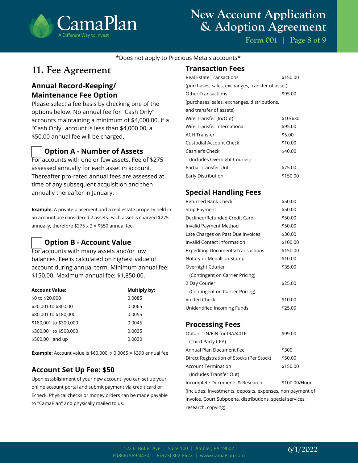

**Form 001 | Page 8 of 9**

\*Does not apply to Precious Metals accounts\*

### **11. Fee Agreement**

### **Annual Record-Keeping/ Maintenance Fee Option**

Please select a fee basis by checking one of the options below. No annual fee for "Cash Only" accounts maintaining a minimum of \$4,000.00. If a "Cash Only" account is less than \$4,000.00, a \$50.00 annual fee will be charged.

### **Option A - Number of Assets**

For accounts with one or few assets. Fee of \$275 assessed annually for each asset in account. Thereafter pro-rated annual fees are assessed at time of any subsequent acquisition and then annually thereafter in January.

**Example:** A private placement and a real estate property held in an account are considered 2 assets. Each asset is charged \$275 annually, therefore  $$275 \times 2 = $550$  annual fee.

#### **Option B - Account Value**

For accounts with many assets and/or low balances. Fee is calculated on highest value of account during annual term. Minimum annual fee: \$150.00. Maximum annual fee: \$1,850.00.

| <b>Account Value:</b>  | Multiply by: |
|------------------------|--------------|
| \$0 to \$20,000        | 0.0085       |
| \$20,001 to \$80,000   | 0.0065       |
| \$80,001 to \$180,000  | 0.0055       |
| \$180,001 to \$300,000 | 0.0045       |
| \$300,001 to \$500,000 | 0.0035       |
| \$500,001 and up       | 0.0030       |

**Example:** Account value is \$60,000. x 0.0065 = \$390 annual fee

#### **Account Set Up Fee: \$50**

Upon establishment of your new account, you can set up your online account portal and submit payment via credit card or Echeck. Physical checks or money orders can be made payable to "CamaPlan" and physically mailed to us.

#### **Transaction Fees**

| <b>Real Estate Transactions</b>                  | \$150.00  |  |
|--------------------------------------------------|-----------|--|
| (purchases, sales, exchanges, transfer of asset) |           |  |
| Other Transactions                               | \$95.00   |  |
| (purchases, sales, exchanges, distributions,     |           |  |
| and transfer of assets)                          |           |  |
| Wire Transfer (In/Out)                           | \$10/\$30 |  |
| Wire Transfer International                      | \$95.00   |  |
| <b>ACH Transfer</b>                              | \$5.00    |  |
| Custodial Account Check                          | \$10.00   |  |
| Cashier's Check                                  | \$40.00   |  |
| (Includes Overnight Courier)                     |           |  |
| Partial Transfer Out                             | \$75.00   |  |
| Early Distribution                               | \$150.00  |  |

#### **Special Handling Fees**

| Returned Bank Check                      | \$50.00  |
|------------------------------------------|----------|
| Stop Payment                             | \$50.00  |
| Declined/Refunded Credit Card            | \$50.00  |
| Invalid Payment Method                   | \$50.00  |
| Late Charges on Past Due Invoices        | \$30.00  |
| Invalid Contact Information              | \$100.00 |
| <b>Expediting Documents/Transactions</b> | \$150.00 |
| Notary or Medallion Stamp                | \$10.00  |
| Overnight Courier                        | \$35.00  |
| (Contingent on Carrier Pricing)          |          |
| 2 Day Courier                            | \$25.00  |
| (Contingent on Carrier Pricing)          |          |
| Voided Check                             | \$10.00  |
| Unidentified Incoming Funds              | \$25.00  |

#### **Processing Fees**

| Obtain TIN/EIN for IRA/401K               | \$99.00       |
|-------------------------------------------|---------------|
| (Third Party CPA)                         |               |
| Annual Plan Document Fee                  | \$300         |
| Direct Registration of Stocks (Per Stock) | \$50.00       |
| Account Termination                       | \$150.00      |
| (Includes Transfer Out)                   |               |
| Incomplete Documents & Research           | \$100.00/Hour |

(Includes: Investments, deposits, expenses, non payment of invoice, Court Subpoena, distributions, special services, research, copying)